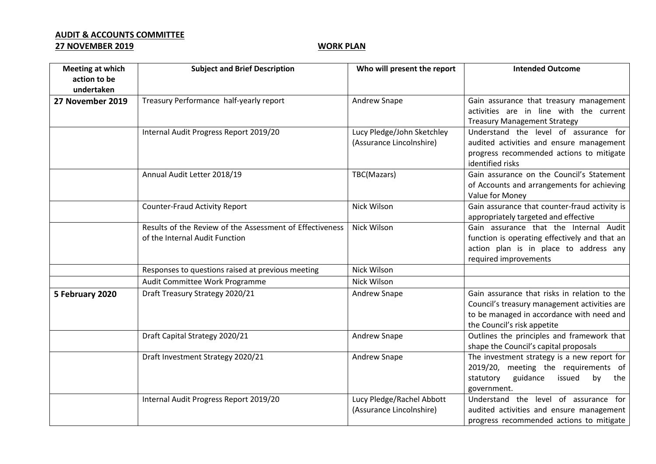## **AUDIT & ACCOUNTS COMMITTEE 27 NOVEMBER 2019 WORK PLAN**

| <b>Meeting at which</b><br>action to be | <b>Subject and Brief Description</b>                                                       | Who will present the report                            | <b>Intended Outcome</b>                                                                                                                                                  |
|-----------------------------------------|--------------------------------------------------------------------------------------------|--------------------------------------------------------|--------------------------------------------------------------------------------------------------------------------------------------------------------------------------|
| undertaken                              |                                                                                            |                                                        |                                                                                                                                                                          |
| 27 November 2019                        | Treasury Performance half-yearly report                                                    | Andrew Snape                                           | Gain assurance that treasury management<br>activities are in line with the current<br><b>Treasury Management Strategy</b>                                                |
|                                         | Internal Audit Progress Report 2019/20                                                     | Lucy Pledge/John Sketchley<br>(Assurance Lincolnshire) | Understand the level of assurance for<br>audited activities and ensure management<br>progress recommended actions to mitigate<br>identified risks                        |
|                                         | Annual Audit Letter 2018/19                                                                | TBC(Mazars)                                            | Gain assurance on the Council's Statement<br>of Accounts and arrangements for achieving<br>Value for Money                                                               |
|                                         | <b>Counter-Fraud Activity Report</b>                                                       | Nick Wilson                                            | Gain assurance that counter-fraud activity is<br>appropriately targeted and effective                                                                                    |
|                                         | Results of the Review of the Assessment of Effectiveness<br>of the Internal Audit Function | Nick Wilson                                            | Gain assurance that the Internal Audit<br>function is operating effectively and that an<br>action plan is in place to address any<br>required improvements               |
|                                         | Responses to questions raised at previous meeting                                          | Nick Wilson                                            |                                                                                                                                                                          |
|                                         | Audit Committee Work Programme                                                             | Nick Wilson                                            |                                                                                                                                                                          |
| 5 February 2020                         | Draft Treasury Strategy 2020/21                                                            | Andrew Snape                                           | Gain assurance that risks in relation to the<br>Council's treasury management activities are<br>to be managed in accordance with need and<br>the Council's risk appetite |
|                                         | Draft Capital Strategy 2020/21                                                             | Andrew Snape                                           | Outlines the principles and framework that<br>shape the Council's capital proposals                                                                                      |
|                                         | Draft Investment Strategy 2020/21                                                          | Andrew Snape                                           | The investment strategy is a new report for<br>2019/20, meeting the requirements of<br>statutory<br>guidance<br>issued<br>by<br>the<br>government.                       |
|                                         | Internal Audit Progress Report 2019/20                                                     | Lucy Pledge/Rachel Abbott<br>(Assurance Lincolnshire)  | Understand the level of assurance for<br>audited activities and ensure management<br>progress recommended actions to mitigate                                            |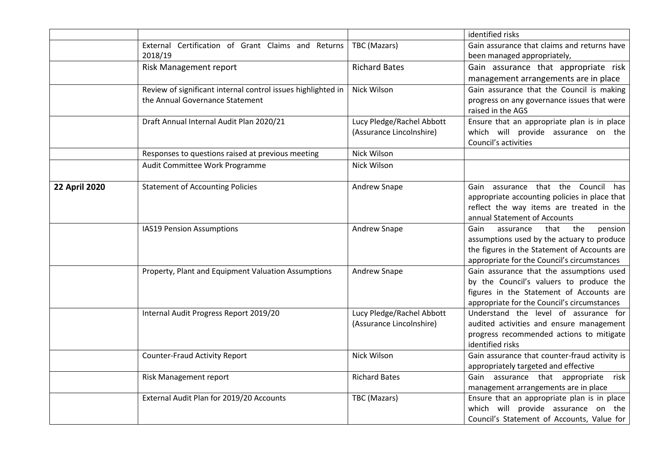|                      |                                                               |                           | identified risks                                                                           |
|----------------------|---------------------------------------------------------------|---------------------------|--------------------------------------------------------------------------------------------|
|                      | External Certification of Grant Claims and Returns<br>2018/19 | TBC (Mazars)              | Gain assurance that claims and returns have<br>been managed appropriately,                 |
|                      | Risk Management report                                        | <b>Richard Bates</b>      | Gain assurance that appropriate risk                                                       |
|                      |                                                               |                           | management arrangements are in place                                                       |
|                      | Review of significant internal control issues highlighted in  | Nick Wilson               | Gain assurance that the Council is making                                                  |
|                      | the Annual Governance Statement                               |                           | progress on any governance issues that were                                                |
|                      |                                                               |                           | raised in the AGS                                                                          |
|                      | Draft Annual Internal Audit Plan 2020/21                      | Lucy Pledge/Rachel Abbott | Ensure that an appropriate plan is in place                                                |
|                      |                                                               | (Assurance Lincolnshire)  | which will provide assurance on the                                                        |
|                      |                                                               |                           | Council's activities                                                                       |
|                      | Responses to questions raised at previous meeting             | Nick Wilson               |                                                                                            |
|                      | Audit Committee Work Programme                                | Nick Wilson               |                                                                                            |
|                      |                                                               |                           |                                                                                            |
| <b>22 April 2020</b> | <b>Statement of Accounting Policies</b>                       | Andrew Snape              | Gain assurance that the Council has                                                        |
|                      |                                                               |                           | appropriate accounting policies in place that                                              |
|                      |                                                               |                           | reflect the way items are treated in the                                                   |
|                      |                                                               |                           | annual Statement of Accounts                                                               |
|                      | IAS19 Pension Assumptions                                     | Andrew Snape              | the<br>Gain<br>that<br>pension<br>assurance                                                |
|                      |                                                               |                           | assumptions used by the actuary to produce<br>the figures in the Statement of Accounts are |
|                      |                                                               |                           | appropriate for the Council's circumstances                                                |
|                      | Property, Plant and Equipment Valuation Assumptions           | Andrew Snape              | Gain assurance that the assumptions used                                                   |
|                      |                                                               |                           | by the Council's valuers to produce the                                                    |
|                      |                                                               |                           | figures in the Statement of Accounts are                                                   |
|                      |                                                               |                           | appropriate for the Council's circumstances                                                |
|                      | Internal Audit Progress Report 2019/20                        | Lucy Pledge/Rachel Abbott | Understand the level of assurance for                                                      |
|                      |                                                               | (Assurance Lincolnshire)  | audited activities and ensure management                                                   |
|                      |                                                               |                           | progress recommended actions to mitigate                                                   |
|                      |                                                               |                           | identified risks                                                                           |
|                      | <b>Counter-Fraud Activity Report</b>                          | Nick Wilson               | Gain assurance that counter-fraud activity is                                              |
|                      |                                                               |                           | appropriately targeted and effective                                                       |
|                      | Risk Management report                                        | <b>Richard Bates</b>      | Gain assurance that appropriate risk                                                       |
|                      |                                                               |                           | management arrangements are in place                                                       |
|                      | External Audit Plan for 2019/20 Accounts                      | TBC (Mazars)              | Ensure that an appropriate plan is in place                                                |
|                      |                                                               |                           | which will provide assurance on the                                                        |
|                      |                                                               |                           | Council's Statement of Accounts, Value for                                                 |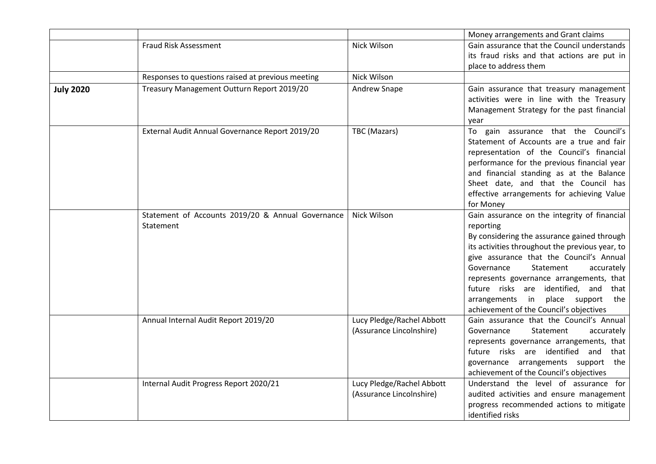|                  |                                                                |                                                       | Money arrangements and Grant claims                                                                                                                                                                                                                                                                                                                                                                                   |
|------------------|----------------------------------------------------------------|-------------------------------------------------------|-----------------------------------------------------------------------------------------------------------------------------------------------------------------------------------------------------------------------------------------------------------------------------------------------------------------------------------------------------------------------------------------------------------------------|
|                  | Fraud Risk Assessment                                          | Nick Wilson                                           | Gain assurance that the Council understands<br>its fraud risks and that actions are put in<br>place to address them                                                                                                                                                                                                                                                                                                   |
|                  | Responses to questions raised at previous meeting              | Nick Wilson                                           |                                                                                                                                                                                                                                                                                                                                                                                                                       |
| <b>July 2020</b> | Treasury Management Outturn Report 2019/20                     | Andrew Snape                                          | Gain assurance that treasury management<br>activities were in line with the Treasury<br>Management Strategy for the past financial<br>year                                                                                                                                                                                                                                                                            |
|                  | External Audit Annual Governance Report 2019/20                | TBC (Mazars)                                          | To gain assurance that the Council's<br>Statement of Accounts are a true and fair<br>representation of the Council's financial<br>performance for the previous financial year<br>and financial standing as at the Balance<br>Sheet date, and that the Council has<br>effective arrangements for achieving Value<br>for Money                                                                                          |
|                  | Statement of Accounts 2019/20 & Annual Governance<br>Statement | Nick Wilson                                           | Gain assurance on the integrity of financial<br>reporting<br>By considering the assurance gained through<br>its activities throughout the previous year, to<br>give assurance that the Council's Annual<br>Statement<br>Governance<br>accurately<br>represents governance arrangements, that<br>future risks are identified, and that<br>arrangements in place support the<br>achievement of the Council's objectives |
|                  | Annual Internal Audit Report 2019/20                           | Lucy Pledge/Rachel Abbott<br>(Assurance Lincolnshire) | Gain assurance that the Council's Annual<br>Statement<br>accurately<br>Governance<br>represents governance arrangements, that<br>future risks are identified and that<br>governance arrangements support the<br>achievement of the Council's objectives                                                                                                                                                               |
|                  | Internal Audit Progress Report 2020/21                         | Lucy Pledge/Rachel Abbott<br>(Assurance Lincolnshire) | Understand the level of assurance for<br>audited activities and ensure management<br>progress recommended actions to mitigate<br>identified risks                                                                                                                                                                                                                                                                     |